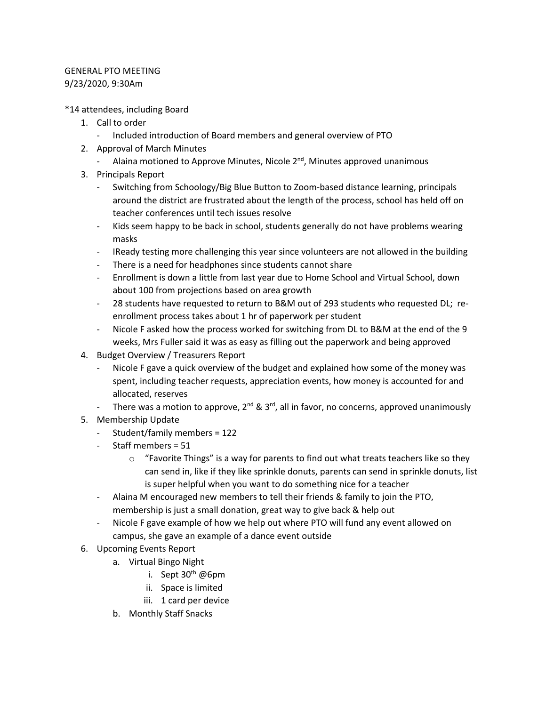## GENERAL PTO MEETING 9/23/2020, 9:30Am

\*14 attendees, including Board

- 1. Call to order
	- Included introduction of Board members and general overview of PTO
- 2. Approval of March Minutes
	- Alaina motioned to Approve Minutes, Nicole  $2^{nd}$ , Minutes approved unanimous
- 3. Principals Report
	- Switching from Schoology/Big Blue Button to Zoom-based distance learning, principals around the district are frustrated about the length of the process, school has held off on teacher conferences until tech issues resolve
	- Kids seem happy to be back in school, students generally do not have problems wearing masks
	- IReady testing more challenging this year since volunteers are not allowed in the building
	- There is a need for headphones since students cannot share
	- Enrollment is down a little from last year due to Home School and Virtual School, down about 100 from projections based on area growth
	- 28 students have requested to return to B&M out of 293 students who requested DL; reenrollment process takes about 1 hr of paperwork per student
	- Nicole F asked how the process worked for switching from DL to B&M at the end of the 9 weeks, Mrs Fuller said it was as easy as filling out the paperwork and being approved
- 4. Budget Overview / Treasurers Report
	- Nicole F gave a quick overview of the budget and explained how some of the money was spent, including teacher requests, appreciation events, how money is accounted for and allocated, reserves
	- There was a motion to approve,  $2^{nd}$  &  $3^{rd}$ , all in favor, no concerns, approved unanimously
- 5. Membership Update
	- Student/family members = 122
	- Staff members = 51
		- $\circ$  "Favorite Things" is a way for parents to find out what treats teachers like so they can send in, like if they like sprinkle donuts, parents can send in sprinkle donuts, list is super helpful when you want to do something nice for a teacher
	- Alaina M encouraged new members to tell their friends & family to join the PTO, membership is just a small donation, great way to give back & help out
	- Nicole F gave example of how we help out where PTO will fund any event allowed on campus, she gave an example of a dance event outside
- 6. Upcoming Events Report
	- a. Virtual Bingo Night
		- i. Sept  $30<sup>th</sup>$  @6pm
		- ii. Space is limited
		- iii. 1 card per device
	- b. Monthly Staff Snacks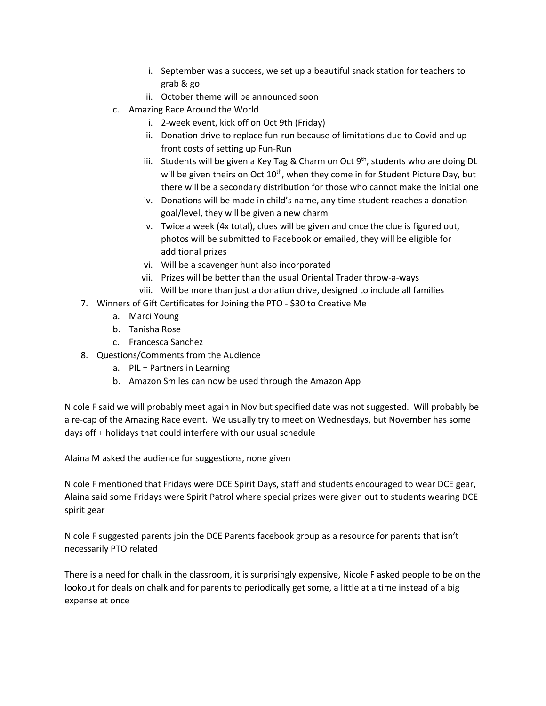- i. September was a success, we set up a beautiful snack station for teachers to grab & go
- ii. October theme will be announced soon
- c. Amazing Race Around the World
	- i. 2-week event, kick off on Oct 9th (Friday)
	- ii. Donation drive to replace fun-run because of limitations due to Covid and upfront costs of setting up Fun-Run
	- iii. Students will be given a Key Tag & Charm on Oct  $9<sup>th</sup>$ , students who are doing DL will be given theirs on Oct  $10<sup>th</sup>$ , when they come in for Student Picture Day, but there will be a secondary distribution for those who cannot make the initial one
	- iv. Donations will be made in child's name, any time student reaches a donation goal/level, they will be given a new charm
	- v. Twice a week (4x total), clues will be given and once the clue is figured out, photos will be submitted to Facebook or emailed, they will be eligible for additional prizes
	- vi. Will be a scavenger hunt also incorporated
	- vii. Prizes will be better than the usual Oriental Trader throw-a-ways
	- viii. Will be more than just a donation drive, designed to include all families
- 7. Winners of Gift Certificates for Joining the PTO \$30 to Creative Me
	- a. Marci Young
	- b. Tanisha Rose
	- c. Francesca Sanchez
- 8. Questions/Comments from the Audience
	- a. PIL = Partners in Learning
	- b. Amazon Smiles can now be used through the Amazon App

Nicole F said we will probably meet again in Nov but specified date was not suggested. Will probably be a re-cap of the Amazing Race event. We usually try to meet on Wednesdays, but November has some days off + holidays that could interfere with our usual schedule

Alaina M asked the audience for suggestions, none given

Nicole F mentioned that Fridays were DCE Spirit Days, staff and students encouraged to wear DCE gear, Alaina said some Fridays were Spirit Patrol where special prizes were given out to students wearing DCE spirit gear

Nicole F suggested parents join the DCE Parents facebook group as a resource for parents that isn't necessarily PTO related

There is a need for chalk in the classroom, it is surprisingly expensive, Nicole F asked people to be on the lookout for deals on chalk and for parents to periodically get some, a little at a time instead of a big expense at once